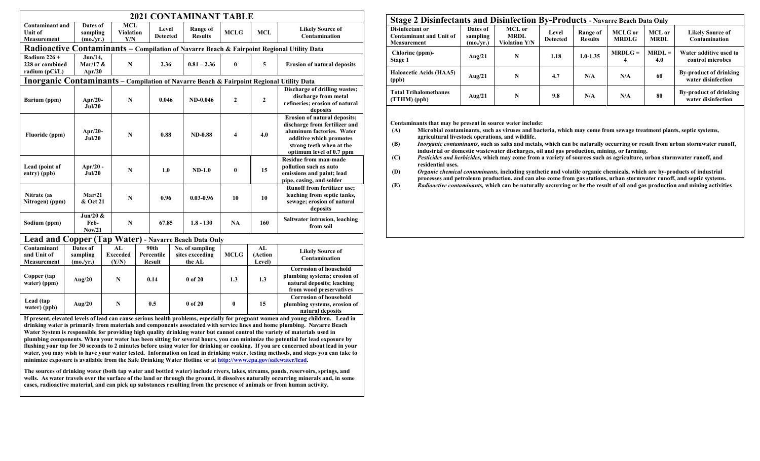| <b>2021 CONTAMINANT TABLE</b>                                                                  |  |                                    |                                       |                                |                                     |       |                                              |               |              |                                               |                                                                                                                                                                                      |  |  |
|------------------------------------------------------------------------------------------------|--|------------------------------------|---------------------------------------|--------------------------------|-------------------------------------|-------|----------------------------------------------|---------------|--------------|-----------------------------------------------|--------------------------------------------------------------------------------------------------------------------------------------------------------------------------------------|--|--|
| <b>Contaminant and</b><br>Dates of<br><b>Unit of</b><br>sampling<br>Measurement<br>(mo./yr.)   |  |                                    | <b>MCL</b><br><b>Violation</b><br>Y/N |                                | Level<br><b>Detected</b>            |       | <b>Range of</b><br><b>Results</b>            | <b>MCLG</b>   | <b>MCL</b>   | <b>Likely Source of</b><br>Contamination      |                                                                                                                                                                                      |  |  |
| Radioactive Contaminants - Compilation of Navarre Beach & Fairpoint Regional Utility Data      |  |                                    |                                       |                                |                                     |       |                                              |               |              |                                               |                                                                                                                                                                                      |  |  |
| Radium $226 +$<br>228 or combined<br>radium (pCi/L)                                            |  | Jun/14,<br>Mar/17 $&$<br>Apr $/20$ |                                       | $\mathbf N$                    |                                     | 2.36  |                                              | $0.81 - 2.36$ | $\bf{0}$     | 5                                             | <b>Erosion of natural deposits</b>                                                                                                                                                   |  |  |
| <b>Inorganic Contaminants</b> – Compilation of Navarre Beach & Fairpoint Regional Utility Data |  |                                    |                                       |                                |                                     |       |                                              |               |              |                                               |                                                                                                                                                                                      |  |  |
| Barium (ppm)                                                                                   |  | Apr $/20$ -<br>Jul/20              |                                       | ${\bf N}$                      |                                     | 0.046 |                                              | $ND-0.046$    | $\mathbf{2}$ | $\overline{2}$                                | Discharge of drilling wastes;<br>discharge from metal<br>refineries; erosion of natural<br>deposits                                                                                  |  |  |
| Fluoride (ppm)                                                                                 |  | Apr $/20$ -<br>Jul/20              |                                       | $\mathbf N$                    |                                     | 0.88  |                                              | $ND-0.88$     | 4            | 4.0                                           | <b>Erosion of natural deposits;</b><br>discharge from fertilizer and<br>aluminum factories. Water<br>additive which promotes<br>strong teeth when at the<br>optimum level of 0.7 ppm |  |  |
| Lead (point of<br>entry) (ppb)                                                                 |  | Apr $/20$ -<br>Jul/20              |                                       | $\mathbf N$                    |                                     | 1.0   |                                              | $ND-1.0$      | $\bf{0}$     | 15                                            | <b>Residue from man-made</b><br>pollution such as auto<br>emissions and paint; lead<br>pipe, casing, and solder                                                                      |  |  |
| Nitrate (as<br>Nitrogen) (ppm)                                                                 |  | Mar/21<br>& Oct 21                 |                                       | $\mathbf N$                    |                                     | 0.96  |                                              | $0.03 - 0.96$ | 10           | 10                                            | <b>Runoff from fertilizer use:</b><br>leaching from septic tanks,<br>sewage; erosion of natural<br>deposits                                                                          |  |  |
| Sodium (ppm)                                                                                   |  | Jun/20 $&$<br>Feb-<br>Nov/21       | ${\bf N}$                             |                                | 67.85                               |       |                                              | $1.8 - 130$   | <b>NA</b>    | 160                                           | <b>Saltwater intrusion, leaching</b><br>from soil                                                                                                                                    |  |  |
| Lead and Copper (Tap Water) - Navarre Beach Data Only                                          |  |                                    |                                       |                                |                                     |       |                                              |               |              |                                               |                                                                                                                                                                                      |  |  |
| Contaminant<br>and Unit of<br>Measurement                                                      |  | Dates of<br>sampling<br>(mo./yr.)  |                                       | AL<br><b>Exceeded</b><br>(Y/N) | 90th<br>Percentile<br><b>Result</b> |       | No. of sampling<br>sites exceeding<br>the AL |               | <b>MCLG</b>  | $\overline{\mathbf{AL}}$<br>(Action<br>Level) | <b>Likely Source of</b><br>Contamination                                                                                                                                             |  |  |
| Copper (tap<br>water) (ppm)                                                                    |  | Aug/20                             |                                       | $\mathbf N$                    | 0.14                                |       | 0 of 20                                      |               | 1.3          | 1.3                                           | <b>Corrosion of household</b><br>plumbing systems; erosion of<br>natural deposits; leaching<br>from wood preservatives                                                               |  |  |
| Lead (tap<br>Aug/20<br>water) (ppb)                                                            |  |                                    | $\mathbf N$                           |                                | 0.5                                 |       | $0$ of 20                                    |               | $\bf{0}$     | 15                                            | <b>Corrosion of household</b><br>plumbing systems, erosion of<br>natural deposits                                                                                                    |  |  |

**If present, elevated levels of lead can cause serious health problems, especially for pregnant women and young children. Lead in drinking water is primarily from materials and components associated with service lines and home plumbing. Navarre Beach Water System is responsible for providing high quality drinking water but cannot control the variety of materials used in plumbing components. When your water has been sitting for several hours, you can minimize the potential for lead exposure by flushing your tap for 30 seconds to 2 minutes before using water for drinking or cooking. If you are concerned about lead in your water, you may wish to have your water tested. Information on lead in drinking water, testing methods, and steps you can take to minimize exposure is available from the Safe Drinking Water Hotline or a[t http://www.epa.gov/safewater/lead.](http://www.epa.gov/safewater/lead)**

**The sources of drinking water (both tap water and bottled water) include rivers, lakes, streams, ponds, reservoirs, springs, and wells. As water travels over the surface of the land or through the ground, it dissolves naturally occurring minerals and, in some cases, radioactive material, and can pick up substances resulting from the presence of animals or from human activity.**

| Stage 2 Disinfectants and Disinfection By-Products - Navarre Beach Data Only   |                                   |                                               |                          |                            |                                |                       |                                                     |  |  |  |
|--------------------------------------------------------------------------------|-----------------------------------|-----------------------------------------------|--------------------------|----------------------------|--------------------------------|-----------------------|-----------------------------------------------------|--|--|--|
| <b>Disinfectant or</b><br><b>Contaminant and Unit of</b><br><b>Measurement</b> | Dates of<br>sampling<br>(mo./yr.) | MCL or<br><b>MRDL</b><br><b>Violation Y/N</b> | Level<br><b>Detected</b> | Range of<br><b>Results</b> | <b>MCLG</b> or<br><b>MRDLG</b> | MCL or<br><b>MRDL</b> | <b>Likely Source of</b><br>Contamination            |  |  |  |
| Chlorine (ppm)-<br>Stage 1                                                     | Aug/21                            | N                                             | 1.18                     | $1.0 - 1.35$               | $MRDLG =$<br>4                 | $MRDI =$<br>4.0       | Water additive used to<br>control microbes          |  |  |  |
| <b>Haloacetic Acids (HAA5)</b><br>(ppb)                                        | Aug/21                            | N                                             | 4.7                      | N/A                        | N/A                            | 60                    | <b>By-product of drinking</b><br>water disinfection |  |  |  |
| <b>Total Trihalomethanes</b><br>$(TTHM)$ (ppb)                                 | Aug/21                            | N                                             | 9.8                      | N/A                        | N/A                            | 80                    | <b>By-product of drinking</b><br>water disinfection |  |  |  |

**Contaminants that may be present in source water include:**

- **(A) Microbial contaminants, such as viruses and bacteria, which may come from sewage treatment plants, septic systems, agricultural livestock operations, and wildlife.**
- **(B)** *Inorganic contaminants,* **such as salts and metals, which can be naturally occurring or result from urban stormwater runoff, industrial or domestic wastewater discharges, oil and gas production, mining, or farming.**
- **(C)** *Pesticides and herbicides,* **which may come from a variety of sources such as agriculture, urban stormwater runoff, and residential uses.**

**(D)** *Organic chemical contaminants,* **including synthetic and volatile organic chemicals, which are by-products of industrial processes and petroleum production, and can also come from gas stations, urban stormwater runoff, and septic systems.**

**(E)** *Radioactive contaminants,* **which can be naturally occurring or be the result of oil and gas production and mining activities**